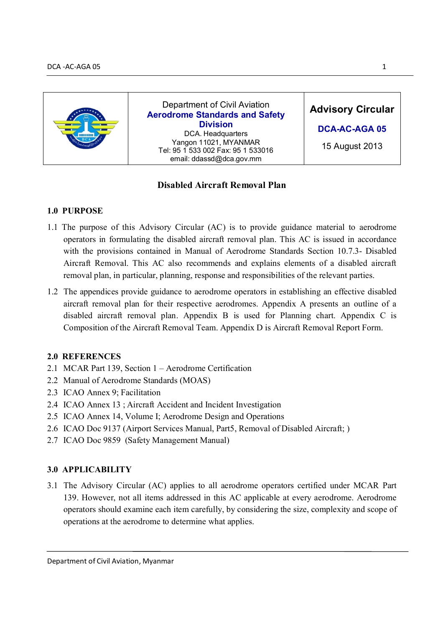

# **Disabled Aircraft Removal Plan**

## **1.0 PURPOSE**

- 1.1 The purpose of this Advisory Circular (AC) is to provide guidance material to aerodrome operators in formulating the disabled aircraft removal plan. This AC is issued in accordance with the provisions contained in Manual of Aerodrome Standards Section 10.7.3- Disabled Aircraft Removal. This AC also recommends and explains elements of a disabled aircraft removal plan, in particular, planning, response and responsibilities of the relevant parties.
- 1.2 The appendices provide guidance to aerodrome operators in establishing an effective disabled aircraft removal plan for their respective aerodromes. Appendix A presents an outline of a disabled aircraft removal plan. Appendix B is used for Planning chart. Appendix C is Composition of the Aircraft Removal Team. Appendix D is Aircraft Removal Report Form.

#### **2.0 REFERENCES**

- 2.1 MCAR Part 139, Section 1 Aerodrome Certification
- 2.2 Manual of Aerodrome Standards (MOAS)
- 2.3 ICAO Annex 9; Facilitation
- 2.4 ICAO Annex 13 ; Aircraft Accident and Incident Investigation
- 2.5 ICAO Annex 14, Volume I; Aerodrome Design and Operations
- 2.6 ICAO Doc 9137 (Airport Services Manual, Part5, Removal of Disabled Aircraft; )
- 2.7 ICAO Doc 9859 (Safety Management Manual)

# **3.0 APPLICABILITY**

3.1 The Advisory Circular (AC) applies to all aerodrome operators certified under MCAR Part 139. However, not all items addressed in this AC applicable at every aerodrome. Aerodrome operators should examine each item carefully, by considering the size, complexity and scope of operations at the aerodrome to determine what applies.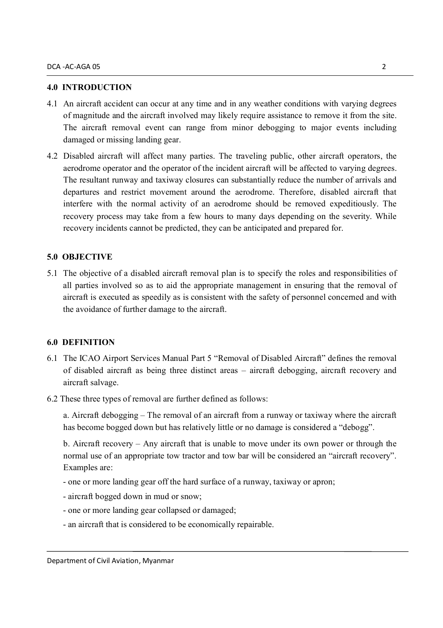#### **4.0 INTRODUCTION**

- 4.1 An aircraft accident can occur at any time and in any weather conditions with varying degrees of magnitude and the aircraft involved may likely require assistance to remove it from the site. The aircraft removal event can range from minor debogging to major events including damaged or missing landing gear.
- 4.2 Disabled aircraft will affect many parties. The traveling public, other aircraft operators, the aerodrome operator and the operator of the incident aircraft will be affected to varying degrees. The resultant runway and taxiway closures can substantially reduce the number of arrivals and departures and restrict movement around the aerodrome. Therefore, disabled aircraft that interfere with the normal activity of an aerodrome should be removed expeditiously. The recovery process may take from a few hours to many days depending on the severity. While recovery incidents cannot be predicted, they can be anticipated and prepared for.

### **5.0 OBJECTIVE**

5.1 The objective of a disabled aircraft removal plan is to specify the roles and responsibilities of all parties involved so as to aid the appropriate management in ensuring that the removal of aircraft is executed as speedily as is consistent with the safety of personnel concerned and with the avoidance of further damage to the aircraft.

### **6.0 DEFINITION**

- 6.1 The ICAO Airport Services Manual Part 5 "Removal of Disabled Aircraft" defines the removal of disabled aircraft as being three distinct areas – aircraft debogging, aircraft recovery and aircraft salvage.
- 6.2 These three types of removal are further defined as follows:

a. Aircraft debogging – The removal of an aircraft from a runway or taxiway where the aircraft has become bogged down but has relatively little or no damage is considered a "debogg".

b. Aircraft recovery – Any aircraft that is unable to move under its own power or through the normal use of an appropriate tow tractor and tow bar will be considered an "aircraft recovery". Examples are:

- one or more landing gear off the hard surface of a runway, taxiway or apron;
- aircraft bogged down in mud or snow;
- one or more landing gear collapsed or damaged;
- an aircraft that is considered to be economically repairable.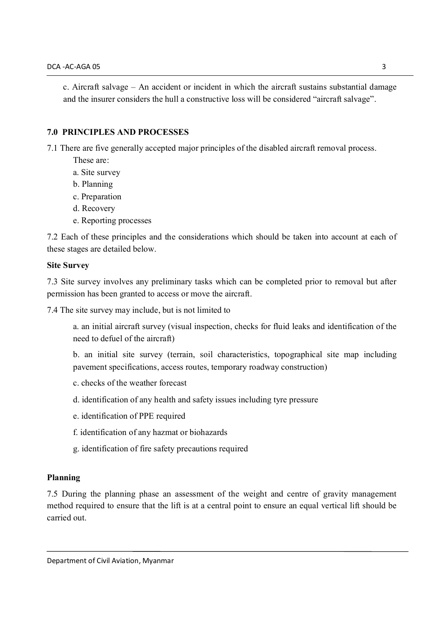c. Aircraft salvage – An accident or incident in which the aircraft sustains substantial damage and the insurer considers the hull a constructive loss will be considered "aircraft salvage".

#### **7.0 PRINCIPLES AND PROCESSES**

7.1 There are five generally accepted major principles of the disabled aircraft removal process.

These are:

- a. Site survey
- b. Planning
- c. Preparation
- d. Recovery
- e. Reporting processes

7.2 Each of these principles and the considerations which should be taken into account at each of these stages are detailed below.

#### **Site Survey**

7.3 Site survey involves any preliminary tasks which can be completed prior to removal but after permission has been granted to access or move the aircraft.

7.4 The site survey may include, but is not limited to

a. an initial aircraft survey (visual inspection, checks for fluid leaks and identification of the need to defuel of the aircraft)

b. an initial site survey (terrain, soil characteristics, topographical site map including pavement specifications, access routes, temporary roadway construction)

- c. checks of the weather forecast
- d. identification of any health and safety issues including tyre pressure
- e. identification of PPE required
- f. identification of any hazmat or biohazards
- g. identification of fire safety precautions required

#### **Planning**

7.5 During the planning phase an assessment of the weight and centre of gravity management method required to ensure that the lift is at a central point to ensure an equal vertical lift should be carried out.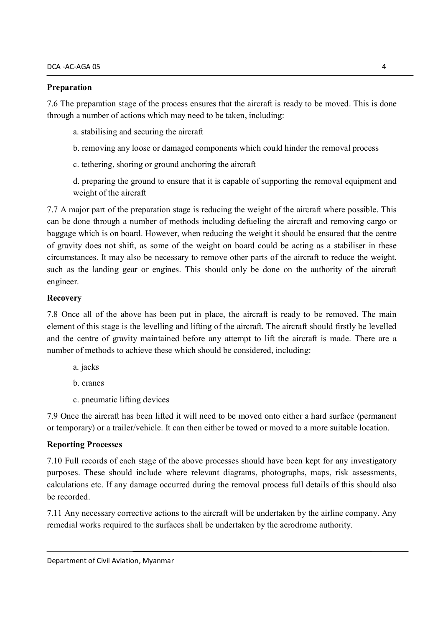#### **Preparation**

7.6 The preparation stage of the process ensures that the aircraft is ready to be moved. This is done through a number of actions which may need to be taken, including:

- a. stabilising and securing the aircraft
- b. removing any loose or damaged components which could hinder the removal process
- c. tethering, shoring or ground anchoring the aircraft
- d. preparing the ground to ensure that it is capable of supporting the removal equipment and weight of the aircraft

7.7 A major part of the preparation stage is reducing the weight of the aircraft where possible. This can be done through a number of methods including defueling the aircraft and removing cargo or baggage which is on board. However, when reducing the weight it should be ensured that the centre of gravity does not shift, as some of the weight on board could be acting as a stabiliser in these circumstances. It may also be necessary to remove other parts of the aircraft to reduce the weight, such as the landing gear or engines. This should only be done on the authority of the aircraft engineer.

## **Recovery**

7.8 Once all of the above has been put in place, the aircraft is ready to be removed. The main element of this stage is the levelling and lifting of the aircraft. The aircraft should firstly be levelled and the centre of gravity maintained before any attempt to lift the aircraft is made. There are a number of methods to achieve these which should be considered, including:

- a. jacks
- b. cranes
- c. pneumatic lifting devices

7.9 Once the aircraft has been lifted it will need to be moved onto either a hard surface (permanent or temporary) or a trailer/vehicle. It can then either be towed or moved to a more suitable location.

# **Reporting Processes**

7.10 Full records of each stage of the above processes should have been kept for any investigatory purposes. These should include where relevant diagrams, photographs, maps, risk assessments, calculations etc. If any damage occurred during the removal process full details of this should also be recorded.

7.11 Any necessary corrective actions to the aircraft will be undertaken by the airline company. Any remedial works required to the surfaces shall be undertaken by the aerodrome authority.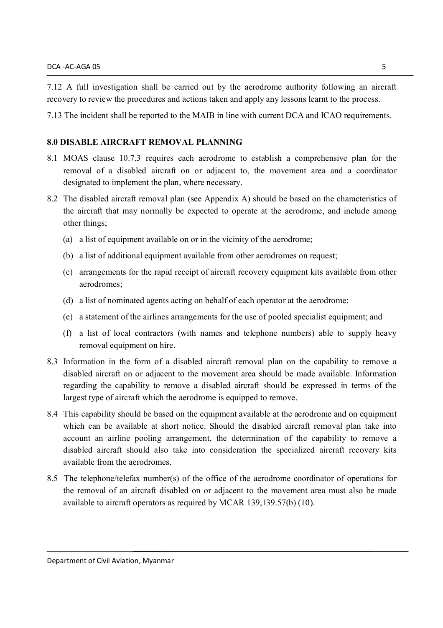7.12 A full investigation shall be carried out by the aerodrome authority following an aircraft recovery to review the procedures and actions taken and apply any lessons learnt to the process.

7.13 The incident shall be reported to the MAIB in line with current DCA and ICAO requirements.

#### **8.0 DISABLE AIRCRAFT REMOVAL PLANNING**

- 8.1 MOAS clause 10.7.3 requires each aerodrome to establish a comprehensive plan for the removal of a disabled aircraft on or adjacent to, the movement area and a coordinator designated to implement the plan, where necessary.
- 8.2 The disabled aircraft removal plan (see Appendix A) should be based on the characteristics of the aircraft that may normally be expected to operate at the aerodrome, and include among other things;
	- (a) a list of equipment available on or in the vicinity of the aerodrome;
	- (b) a list of additional equipment available from other aerodromes on request;
	- (c) arrangements for the rapid receipt of aircraft recovery equipment kits available from other aerodromes;
	- (d) a list of nominated agents acting on behalf of each operator at the aerodrome;
	- (e) a statement of the airlines arrangements for the use of pooled specialist equipment; and
	- (f) a list of local contractors (with names and telephone numbers) able to supply heavy removal equipment on hire.
- 8.3 Information in the form of a disabled aircraft removal plan on the capability to remove a disabled aircraft on or adjacent to the movement area should be made available. Information regarding the capability to remove a disabled aircraft should be expressed in terms of the largest type of aircraft which the aerodrome is equipped to remove.
- 8.4 This capability should be based on the equipment available at the aerodrome and on equipment which can be available at short notice. Should the disabled aircraft removal plan take into account an airline pooling arrangement, the determination of the capability to remove a disabled aircraft should also take into consideration the specialized aircraft recovery kits available from the aerodromes.
- 8.5 The telephone/telefax number(s) of the office of the aerodrome coordinator of operations for the removal of an aircraft disabled on or adjacent to the movement area must also be made available to aircraft operators as required by MCAR 139,139.57(b) (10).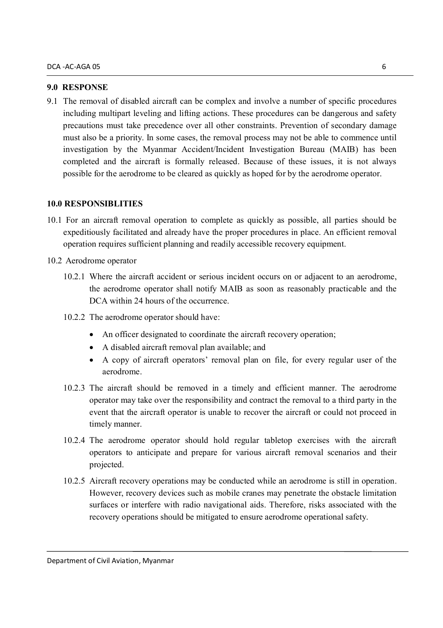#### **9.0 RESPONSE**

9.1 The removal of disabled aircraft can be complex and involve a number of specific procedures including multipart leveling and lifting actions. These procedures can be dangerous and safety precautions must take precedence over all other constraints. Prevention of secondary damage must also be a priority. In some cases, the removal process may not be able to commence until investigation by the Myanmar Accident/Incident Investigation Bureau (MAIB) has been completed and the aircraft is formally released. Because of these issues, it is not always possible for the aerodrome to be cleared as quickly as hoped for by the aerodrome operator.

#### **10.0 RESPONSIBLITIES**

- 10.1 For an aircraft removal operation to complete as quickly as possible, all parties should be expeditiously facilitated and already have the proper procedures in place. An efficient removal operation requires sufficient planning and readily accessible recovery equipment.
- 10.2 Aerodrome operator
	- 10.2.1 Where the aircraft accident or serious incident occurs on or adjacent to an aerodrome, the aerodrome operator shall notify MAIB as soon as reasonably practicable and the DCA within 24 hours of the occurrence.
	- 10.2.2 The aerodrome operator should have:
		- An officer designated to coordinate the aircraft recovery operation;
		- A disabled aircraft removal plan available; and
		- A copy of aircraft operators' removal plan on file, for every regular user of the aerodrome.
	- 10.2.3 The aircraft should be removed in a timely and efficient manner. The aerodrome operator may take over the responsibility and contract the removal to a third party in the event that the aircraft operator is unable to recover the aircraft or could not proceed in timely manner.
	- 10.2.4 The aerodrome operator should hold regular tabletop exercises with the aircraft operators to anticipate and prepare for various aircraft removal scenarios and their projected.
	- 10.2.5 Aircraft recovery operations may be conducted while an aerodrome is still in operation. However, recovery devices such as mobile cranes may penetrate the obstacle limitation surfaces or interfere with radio navigational aids. Therefore, risks associated with the recovery operations should be mitigated to ensure aerodrome operational safety.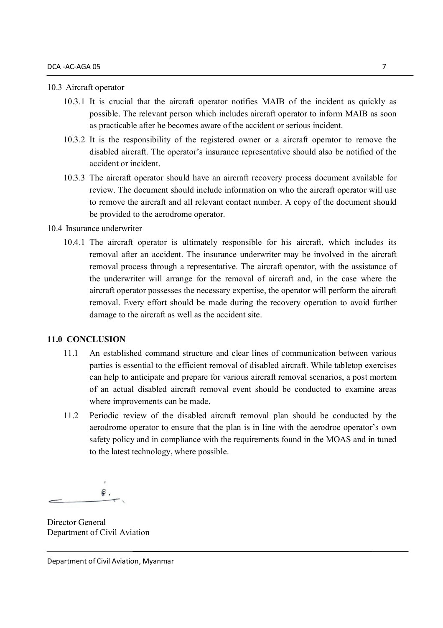#### 10.3 Aircraft operator

- 10.3.1 It is crucial that the aircraft operator notifies MAIB of the incident as quickly as possible. The relevant person which includes aircraft operator to inform MAIB as soon as practicable after he becomes aware of the accident or serious incident.
- 10.3.2 It is the responsibility of the registered owner or a aircraft operator to remove the disabled aircraft. The operator's insurance representative should also be notified of the accident or incident.
- 10.3.3 The aircraft operator should have an aircraft recovery process document available for review. The document should include information on who the aircraft operator will use to remove the aircraft and all relevant contact number. A copy of the document should be provided to the aerodrome operator.

#### 10.4 Insurance underwriter

10.4.1 The aircraft operator is ultimately responsible for his aircraft, which includes its removal after an accident. The insurance underwriter may be involved in the aircraft removal process through a representative. The aircraft operator, with the assistance of the underwriter will arrange for the removal of aircraft and, in the case where the aircraft operator possesses the necessary expertise, the operator will perform the aircraft removal. Every effort should be made during the recovery operation to avoid further damage to the aircraft as well as the accident site.

### **11.0 CONCLUSION**

- 11.1 An established command structure and clear lines of communication between various parties is essential to the efficient removal of disabled aircraft. While tabletop exercises can help to anticipate and prepare for various aircraft removal scenarios, a post mortem of an actual disabled aircraft removal event should be conducted to examine areas where improvements can be made.
- 11.2 Periodic review of the disabled aircraft removal plan should be conducted by the aerodrome operator to ensure that the plan is in line with the aerodroe operator's own safety policy and in compliance with the requirements found in the MOAS and in tuned to the latest technology, where possible.

 $\mathbb{S}$  .

Director General Department of Civil Aviation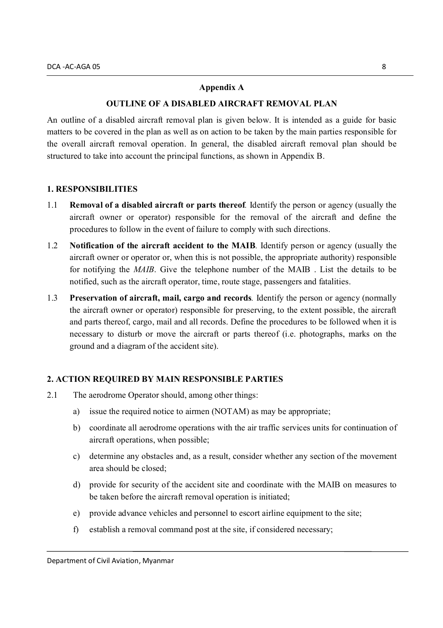#### **Appendix A**

## **OUTLINE OF A DISABLED AIRCRAFT REMOVAL PLAN**

An outline of a disabled aircraft removal plan is given below. It is intended as a guide for basic matters to be covered in the plan as well as on action to be taken by the main parties responsible for the overall aircraft removal operation. In general, the disabled aircraft removal plan should be structured to take into account the principal functions, as shown in Appendix B.

#### **1. RESPONSIBILITIES**

- 1.1 **Removal of a disabled aircraft or parts thereof***.* Identify the person or agency (usually the aircraft owner or operator) responsible for the removal of the aircraft and define the procedures to follow in the event of failure to comply with such directions.
- 1.2 **Notification of the aircraft accident to the MAIB***.* Identify person or agency (usually the aircraft owner or operator or, when this is not possible, the appropriate authority) responsible for notifying the *MAIB*. Give the telephone number of the MAIB . List the details to be notified, such as the aircraft operator, time, route stage, passengers and fatalities.
- 1.3 **Preservation of aircraft, mail, cargo and records***.* Identify the person or agency (normally the aircraft owner or operator) responsible for preserving, to the extent possible, the aircraft and parts thereof, cargo, mail and all records. Define the procedures to be followed when it is necessary to disturb or move the aircraft or parts thereof (i.e. photographs, marks on the ground and a diagram of the accident site).

#### **2. ACTION REQUIRED BY MAIN RESPONSIBLE PARTIES**

- 2.1 The aerodrome Operator should, among other things:
	- a) issue the required notice to airmen (NOTAM) as may be appropriate;
	- b) coordinate all aerodrome operations with the air traffic services units for continuation of aircraft operations, when possible;
	- c) determine any obstacles and, as a result, consider whether any section of the movement area should be closed;
	- d) provide for security of the accident site and coordinate with the MAIB on measures to be taken before the aircraft removal operation is initiated;
	- e) provide advance vehicles and personnel to escort airline equipment to the site;
	- f) establish a removal command post at the site, if considered necessary;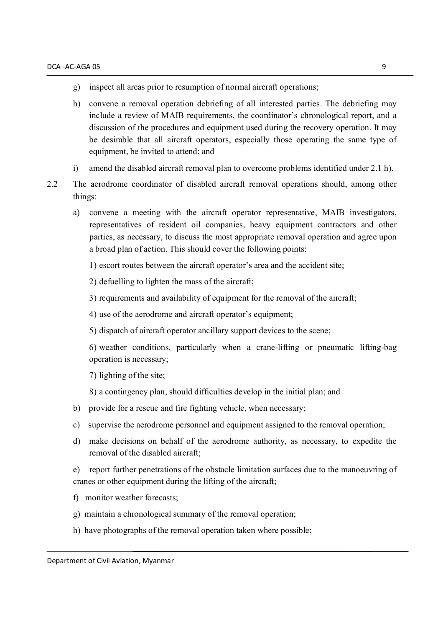- g) inspect all areas prior to resumption of normal aircraft operations;
- h) convene a removal operation debriefing of all interested parties. The debriefing may include a review of MAIB requirements, the coordinator's chronological report, and a discussion of the procedures and equipment used during the recovery operation. It may be desirable that all aircraft operators, especially those operating the same type of equipment, be invited to attend; and
- i) amend the disabled aircraft removal plan to overcome problems identified under 2.1 h).
- 2.2 The aerodrome coordinator of disabled aircraft removal operations should, among other things:
	- a) convene a meeting with the aircraft operator representative, MAIB investigators, representatives of resident oil companies, heavy equipment contractors and other parties, as necessary, to discuss the most appropriate removal operation and agree upon a broad plan of action. This should cover the following points:
		- 1) escort routes between the aircraft operator's area and the accident site;
		- 2) defuelling to lighten the mass of the aircraft;
		- 3) requirements and availability of equipment for the removal of the aircraft;
		- 4) use of the aerodrome and aircraft operator's equipment;
		- 5) dispatch of aircraft operator ancillary support devices to the scene;

6) weather conditions, particularly when a crane-lifting or pneumatic lifting-bag operation is necessary;

7) lighting of the site;

- 8) a contingency plan, should difficulties develop in the initial plan; and
- b) provide for a rescue and fire fighting vehicle, when necessary;
- c) supervise the aerodrome personnel and equipment assigned to the removal operation;
- d) make decisions on behalf of the aerodrome authority, as necessary, to expedite the removal of the disabled aircraft;

e) report further penetrations of the obstacle limitation surfaces due to the manoeuvring of cranes or other equipment during the lifting of the aircraft;

- f) monitor weather forecasts;
- g) maintain a chronological summary of the removal operation;
- h) have photographs of the removal operation taken where possible;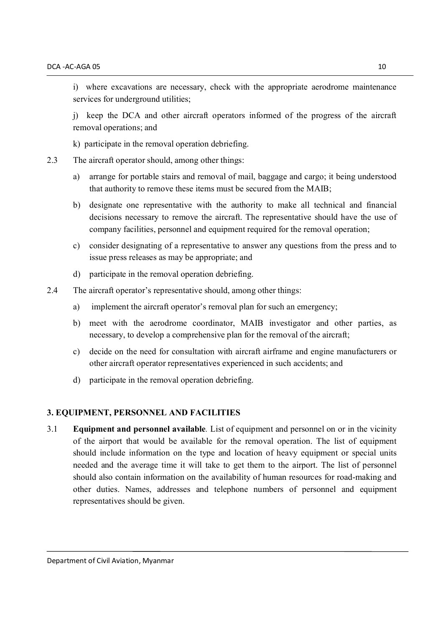i) where excavations are necessary, check with the appropriate aerodrome maintenance services for underground utilities;

j) keep the DCA and other aircraft operators informed of the progress of the aircraft removal operations; and

k) participate in the removal operation debriefing.

- 2.3 The aircraft operator should, among other things:
	- a) arrange for portable stairs and removal of mail, baggage and cargo; it being understood that authority to remove these items must be secured from the MAIB;
	- b) designate one representative with the authority to make all technical and financial decisions necessary to remove the aircraft. The representative should have the use of company facilities, personnel and equipment required for the removal operation;
	- c) consider designating of a representative to answer any questions from the press and to issue press releases as may be appropriate; and
	- d) participate in the removal operation debriefing.
- 2.4 The aircraft operator's representative should, among other things:
	- a) implement the aircraft operator's removal plan for such an emergency;
	- b) meet with the aerodrome coordinator, MAIB investigator and other parties, as necessary, to develop a comprehensive plan for the removal of the aircraft;
	- c) decide on the need for consultation with aircraft airframe and engine manufacturers or other aircraft operator representatives experienced in such accidents; and
	- d) participate in the removal operation debriefing.

#### **3. EQUIPMENT, PERSONNEL AND FACILITIES**

3.1 **Equipment and personnel available***.* List of equipment and personnel on or in the vicinity of the airport that would be available for the removal operation. The list of equipment should include information on the type and location of heavy equipment or special units needed and the average time it will take to get them to the airport. The list of personnel should also contain information on the availability of human resources for road-making and other duties. Names, addresses and telephone numbers of personnel and equipment representatives should be given.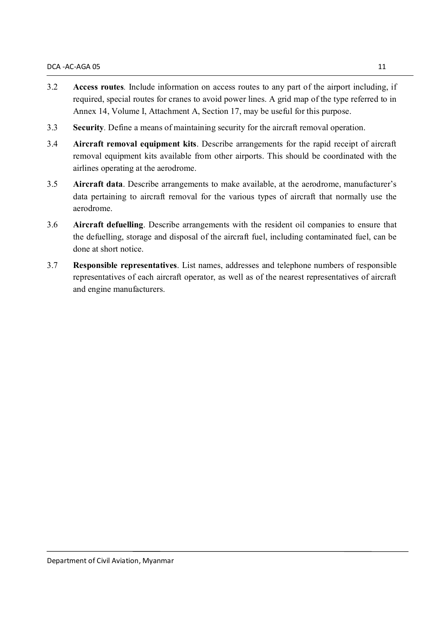- 3.2 **Access routes***.* Include information on access routes to any part of the airport including, if required, special routes for cranes to avoid power lines. A grid map of the type referred to in Annex 14, Volume I, Attachment A, Section 17, may be useful for this purpose.
- 3.3 **Security***.* Define a means of maintaining security for the aircraft removal operation.
- 3.4 **Aircraft removal equipment kits**. Describe arrangements for the rapid receipt of aircraft removal equipment kits available from other airports. This should be coordinated with the airlines operating at the aerodrome.
- 3.5 **Aircraft data**. Describe arrangements to make available, at the aerodrome, manufacturer's data pertaining to aircraft removal for the various types of aircraft that normally use the aerodrome.
- 3.6 **Aircraft defuelling**. Describe arrangements with the resident oil companies to ensure that the defuelling, storage and disposal of the aircraft fuel, including contaminated fuel, can be done at short notice.
- 3.7 **Responsible representatives**. List names, addresses and telephone numbers of responsible representatives of each aircraft operator, as well as of the nearest representatives of aircraft and engine manufacturers.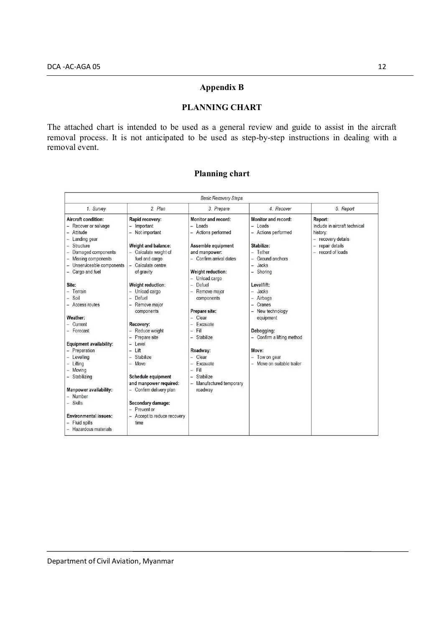# **Appendix B**

#### **PLANNING CHART**

The attached chart is intended to be used as a general review and guide to assist in the aircraft removal process. It is not anticipated to be used as step-by-step instructions in dealing with a removal event.

# **Planning chart**

|                                                                                                                                                                                                           |                                                                                                                                                                                                    | <b>Basic Recovery Steps</b>                                                                                                                                                                                   |                                                                                                                                                                   |                                                                                                                           |
|-----------------------------------------------------------------------------------------------------------------------------------------------------------------------------------------------------------|----------------------------------------------------------------------------------------------------------------------------------------------------------------------------------------------------|---------------------------------------------------------------------------------------------------------------------------------------------------------------------------------------------------------------|-------------------------------------------------------------------------------------------------------------------------------------------------------------------|---------------------------------------------------------------------------------------------------------------------------|
| 1. Survey                                                                                                                                                                                                 | 2. Plan                                                                                                                                                                                            | 3. Prepare                                                                                                                                                                                                    | 4. Recover                                                                                                                                                        | 5. Report                                                                                                                 |
| Aircraft condition:<br>Recover or salvage<br>Attitude<br>Landing gear<br>Structure<br>÷<br>Damaged components<br>Missing components<br>Unserviceable components<br>- Cargo and fuel<br>Site:<br>- Terrain | Rapid recovery:<br>Important<br>Not important<br>-<br>Weight and balance:<br>- Calculate weight of<br>fuel and cargo<br>Calculate centre<br>of gravity<br><b>Weight reduction:</b><br>Unload cargo | Monitor and record:<br>Loads<br>-<br>- Actions performed<br>Assemble equipment<br>and manpower:<br>- Confirm arrival dates<br><b>Weight reduction:</b><br>- Unload cargo<br>Defuel<br>u.<br>Remove major<br>- | Monitor and record:<br>$-$ Loads<br>- Actions performed<br>Stabilize:<br>- Tether<br>Ground anchors<br>Jacks<br>$\equiv$<br>- Shoring<br>Level/lift:<br>$-$ Jacks | Report:<br>Include in aircraft technical<br>history:<br>recovery details<br>repair details<br>i.<br>record of loads<br>÷. |
| $-$ Soil<br>- Access routes<br>Weather:<br>- Current<br>- Forecast                                                                                                                                        | Defuel<br>u<br>Remove major<br>-<br>components<br>Recovery:<br>Reduce weight<br>Prepare site                                                                                                       | components<br>Prepare site:<br>Clear<br>$\overline{\phantom{a}}$<br>Excavate<br>Fill<br>$\frac{1}{2}$<br>Stabilize                                                                                            | Airbags<br>-<br>Cranes<br>New technology<br>equipment<br>Debogging:<br>- Confirm a lifting method                                                                 |                                                                                                                           |
| Equipment availability:<br>- Preparation<br>- Levelling<br>Lifting<br>Moving<br>- Stabilizing<br>Manpower availability:<br>- Number                                                                       | -<br>Level<br>-<br>1 ift<br>$\overline{\phantom{0}}$<br>Stabilize<br>÷.<br>$-$ Move<br>Schedule equipment<br>and manpower required:<br>- Confirm delivery plan                                     | Roadway:<br>- Clear<br>Excavate<br>Fill<br>$\overline{ }$<br>Stabilize<br>-<br>Manufactured temporary<br>-<br>roadway                                                                                         | Move:<br>Tow on gear<br>- Move on suitable trailer                                                                                                                |                                                                                                                           |
| - Skills<br><b>Environmental issues:</b><br>- Fluid spills<br>- Hazardous materials                                                                                                                       | Secondary damage:<br>Prevent or<br>- Accept to reduce recovery<br>time                                                                                                                             |                                                                                                                                                                                                               |                                                                                                                                                                   |                                                                                                                           |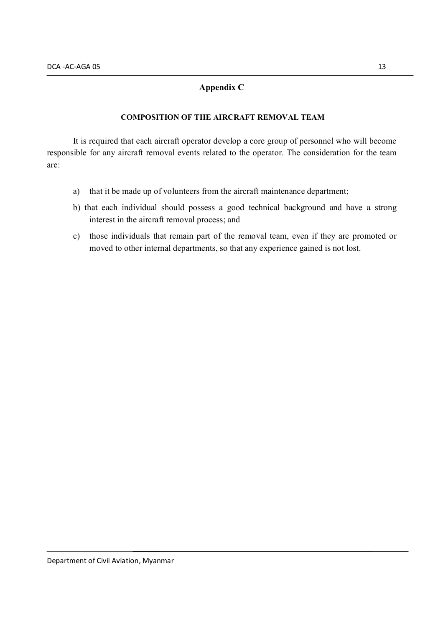## **Appendix C**

#### **COMPOSITION OF THE AIRCRAFT REMOVAL TEAM**

It is required that each aircraft operator develop a core group of personnel who will become responsible for any aircraft removal events related to the operator. The consideration for the team are:

- a) that it be made up of volunteers from the aircraft maintenance department;
- b) that each individual should possess a good technical background and have a strong interest in the aircraft removal process; and
- c) those individuals that remain part of the removal team, even if they are promoted or moved to other internal departments, so that any experience gained is not lost.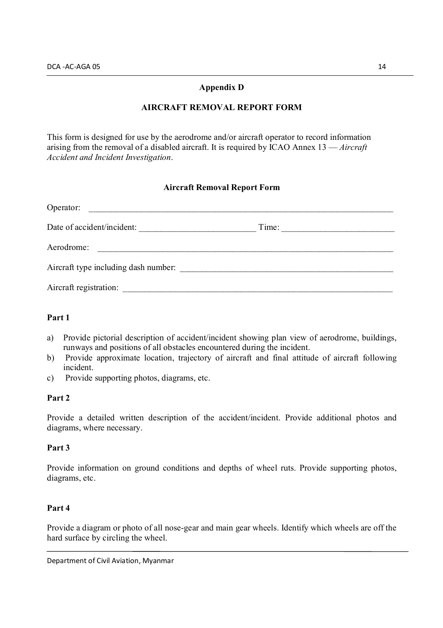### **Appendix D**

## **AIRCRAFT REMOVAL REPORT FORM**

This form is designed for use by the aerodrome and/or aircraft operator to record information arising from the removal of a disabled aircraft. It is required by ICAO Annex 13 — *Aircraft Accident and Incident Investigation*.

#### **Aircraft Removal Report Form**

| Operator:                            |                       |  |
|--------------------------------------|-----------------------|--|
| Date of accident/incident:           | Time: $\qquad \qquad$ |  |
|                                      |                       |  |
| Aircraft type including dash number: |                       |  |
|                                      |                       |  |

### **Part 1**

- a) Provide pictorial description of accident/incident showing plan view of aerodrome, buildings, runways and positions of all obstacles encountered during the incident.
- b) Provide approximate location, trajectory of aircraft and final attitude of aircraft following incident.
- c) Provide supporting photos, diagrams, etc.

#### **Part 2**

Provide a detailed written description of the accident/incident. Provide additional photos and diagrams, where necessary.

#### **Part 3**

Provide information on ground conditions and depths of wheel ruts. Provide supporting photos, diagrams, etc.

#### **Part 4**

Provide a diagram or photo of all nose-gear and main gear wheels. Identify which wheels are off the hard surface by circling the wheel.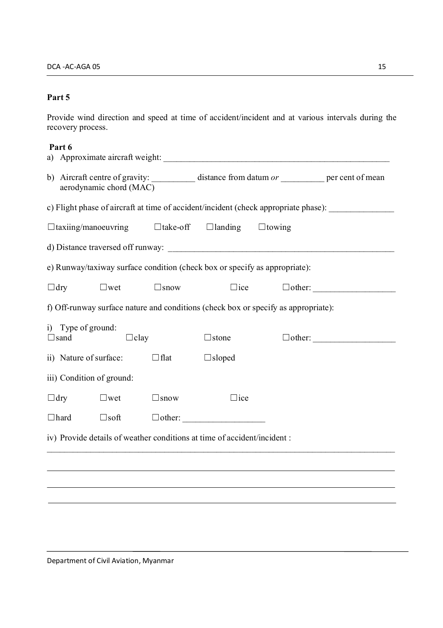# **Part 5**

Provide wind direction and speed at time of accident/incident and at various intervals during the recovery process.

# **Part 6**

|                                   | b) Aircraft centre of gravity: distance from datum or per cent of mean<br>aerodynamic chord (MAC) |                 |                                                                                     |               |               |  |
|-----------------------------------|---------------------------------------------------------------------------------------------------|-----------------|-------------------------------------------------------------------------------------|---------------|---------------|--|
|                                   |                                                                                                   |                 | c) Flight phase of aircraft at time of accident/incident (check appropriate phase): |               |               |  |
|                                   | $\Box$ taxiing/manoeuvring                                                                        | $\Box$ take-off | $\Box$ landing                                                                      | $\Box$ towing |               |  |
|                                   |                                                                                                   |                 |                                                                                     |               |               |  |
|                                   |                                                                                                   |                 | e) Runway/taxiway surface condition (check box or specify as appropriate):          |               |               |  |
| $\Box$ dry                        | $\square$ wet                                                                                     | $\square$ snow  | $\Box$ ice                                                                          |               |               |  |
|                                   |                                                                                                   |                 | f) Off-runway surface nature and conditions (check box or specify as appropriate):  |               |               |  |
| i) Type of ground:<br>$\Box$ sand | $\Box$ clay                                                                                       |                 | $\Box$ stone                                                                        |               | $\Box$ other: |  |
| ii) Nature of surface:            |                                                                                                   | $\Box$ flat     | $\Box$ sloped                                                                       |               |               |  |
|                                   | iii) Condition of ground:                                                                         |                 |                                                                                     |               |               |  |
| $\Box$ dry                        | $\square$ wet                                                                                     | $\square$ snow  | $\Box$ ice                                                                          |               |               |  |
| $\Box$ hard                       | $\square$ soft                                                                                    |                 |                                                                                     |               |               |  |
|                                   |                                                                                                   |                 | iv) Provide details of weather conditions at time of accident/incident :            |               |               |  |
|                                   |                                                                                                   |                 |                                                                                     |               |               |  |
|                                   |                                                                                                   |                 |                                                                                     |               |               |  |
|                                   |                                                                                                   |                 |                                                                                     |               |               |  |
|                                   |                                                                                                   |                 |                                                                                     |               |               |  |